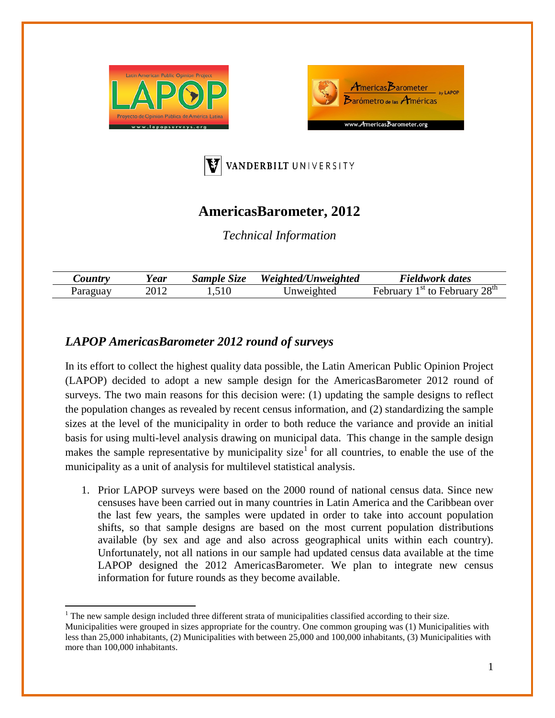





## **AmericasBarometer, 2012**

*Technical Information*

| $\mathcal{L}$ ountry | ear  | $S$ <i>ample</i><br>Size | Weighted/Unweighted | Fieldwork dates                                          |
|----------------------|------|--------------------------|---------------------|----------------------------------------------------------|
|                      | 2012 | $\mathbf{10}$<br>້∙      | Jnweighted          | 28 <sup>th</sup><br><u>ৰ ১ t</u><br>$+\circ$<br>February |

## *LAPOP AmericasBarometer 2012 round of surveys*

In its effort to collect the highest quality data possible, the Latin American Public Opinion Project (LAPOP) decided to adopt a new sample design for the AmericasBarometer 2012 round of surveys. The two main reasons for this decision were: (1) updating the sample designs to reflect the population changes as revealed by recent census information, and (2) standardizing the sample sizes at the level of the municipality in order to both reduce the variance and provide an initial basis for using multi-level analysis drawing on municipal data. This change in the sample design makes the sample representative by municipality size<sup>[1](#page-0-0)</sup> for all countries, to enable the use of the municipality as a unit of analysis for multilevel statistical analysis.

1. Prior LAPOP surveys were based on the 2000 round of national census data. Since new censuses have been carried out in many countries in Latin America and the Caribbean over the last few years, the samples were updated in order to take into account population shifts, so that sample designs are based on the most current population distributions available (by sex and age and also across geographical units within each country). Unfortunately, not all nations in our sample had updated census data available at the time LAPOP designed the 2012 AmericasBarometer. We plan to integrate new census information for future rounds as they become available.

<span id="page-0-1"></span><span id="page-0-0"></span><sup>&</sup>lt;sup>1</sup> The new sample design included three different strata of municipalities classified according to their size. Municipalities were grouped in sizes appropriate for the country. One common grouping was (1) Municipalities with less than 25,000 inhabitants, (2) Municipalities with between 25,000 and 100,000 inhabitants, (3) Municipalities with more than 100,000 inhabitants.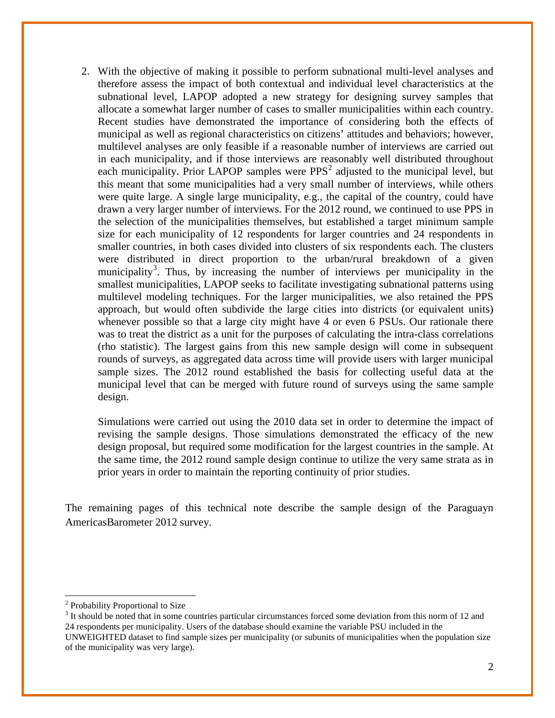2. With the objective of making it possible to perform subnational multi-level analyses and therefore assess the impact of both contextual and individual level characteristics at the subnational level, LAPOP adopted a new strategy for designing survey samples that allocate a somewhat larger number of cases to smaller municipalities within each country. Recent studies have demonstrated the importance of considering both the effects of municipal as well as regional characteristics on citizens' attitudes and behaviors; however, multilevel analyses are only feasible if a reasonable number of interviews are carried out in each municipality, and if those interviews are reasonably well distributed throughout each municipality. Prior LAPOP samples were  $PPS<sup>2</sup>$  $PPS<sup>2</sup>$  $PPS<sup>2</sup>$  adjusted to the municipal level, but this meant that some municipalities had a very small number of interviews, while others were quite large. A single large municipality, e.g., the capital of the country, could have drawn a very larger number of interviews. For the 2012 round, we continued to use PPS in the selection of the municipalities themselves, but established a target minimum sample size for each municipality of 12 respondents for larger countries and 24 respondents in smaller countries, in both cases divided into clusters of six respondents each. The clusters were distributed in direct proportion to the urban/rural breakdown of a given municipality<sup>[3](#page-1-0)</sup>. Thus, by increasing the number of interviews per municipality in the smallest municipalities, LAPOP seeks to facilitate investigating subnational patterns using multilevel modeling techniques. For the larger municipalities, we also retained the PPS approach, but would often subdivide the large cities into districts (or equivalent units) whenever possible so that a large city might have 4 or even 6 PSUs. Our rationale there was to treat the district as a unit for the purposes of calculating the intra-class correlations (rho statistic). The largest gains from this new sample design will come in subsequent rounds of surveys, as aggregated data across time will provide users with larger municipal sample sizes. The 2012 round established the basis for collecting useful data at the municipal level that can be merged with future round of surveys using the same sample design.

Simulations were carried out using the 2010 data set in order to determine the impact of revising the sample designs. Those simulations demonstrated the efficacy of the new design proposal, but required some modification for the largest countries in the sample. At the same time, the 2012 round sample design continue to utilize the very same strata as in prior years in order to maintain the reporting continuity of prior studies.

The remaining pages of this technical note describe the sample design of the Paraguayn AmericasBarometer 2012 survey.

<sup>2</sup> Probability Proportional to Size

<span id="page-1-0"></span> $3$  It should be noted that in some countries particular circumstances forced some deviation from this norm of 12 and 24 respondents per municipality. Users of the database should examine the variable PSU included in the UNWEIGHTED dataset to find sample sizes per municipality (or subunits of municipalities when the population size of the municipality was very large).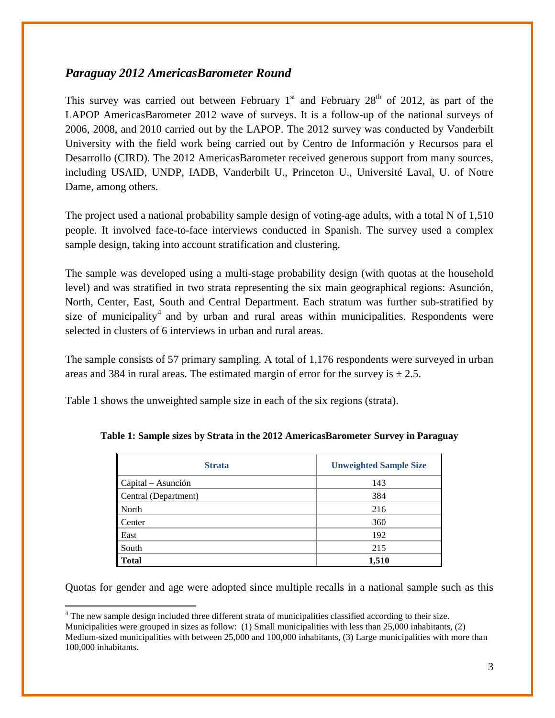## *Paraguay 2012 AmericasBarometer Round*

This survey was carried out between February  $1<sup>st</sup>$  and February  $28<sup>th</sup>$  of 2012, as part of the LAPOP AmericasBarometer 2012 wave of surveys. It is a follow-up of the national surveys of 2006, 2008, and 2010 carried out by the LAPOP. The 2012 survey was conducted by Vanderbilt University with the field work being carried out by Centro de Información y Recursos para el Desarrollo (CIRD). The 2012 AmericasBarometer received generous support from many sources, including USAID, UNDP, IADB, Vanderbilt U., Princeton U., Université Laval, U. of Notre Dame, among others.

The project used a national probability sample design of voting-age adults, with a total N of 1,510 people. It involved face-to-face interviews conducted in Spanish. The survey used a complex sample design, taking into account stratification and clustering.

The sample was developed using a multi-stage probability design (with quotas at the household level) and was stratified in two strata representing the six main geographical regions: Asunción, North, Center, East, South and Central Department. Each stratum was further sub-stratified by size of municipality<sup>[4](#page-1-0)</sup> and by urban and rural areas within municipalities. Respondents were selected in clusters of 6 interviews in urban and rural areas.

The sample consists of 57 primary sampling. A total of 1,176 respondents were surveyed in urban areas and 384 in rural areas. The estimated margin of error for the survey is  $\pm 2.5$ .

Table 1 shows the unweighted sample size in each of the six regions (strata).

| <b>Strata</b>               | <b>Unweighted Sample Size</b> |
|-----------------------------|-------------------------------|
| $\alpha$ Capital – Asunción | 143                           |
| Central (Department)        | 384                           |
| North                       | 216                           |
| Center                      | 360                           |
| East                        | 192                           |
| South                       | 215                           |
| <b>Total</b>                | 1,510                         |

**Table 1: Sample sizes by Strata in the 2012 AmericasBarometer Survey in Paraguay**

Quotas for gender and age were adopted since multiple recalls in a national sample such as this

<sup>4</sup> The new sample design included three different strata of municipalities classified according to their size. Municipalities were grouped in sizes as follow: (1) Small municipalities with less than 25,000 inhabitants, (2) Medium-sized municipalities with between 25,000 and 100,000 inhabitants, (3) Large municipalities with more than 100,000 inhabitants.